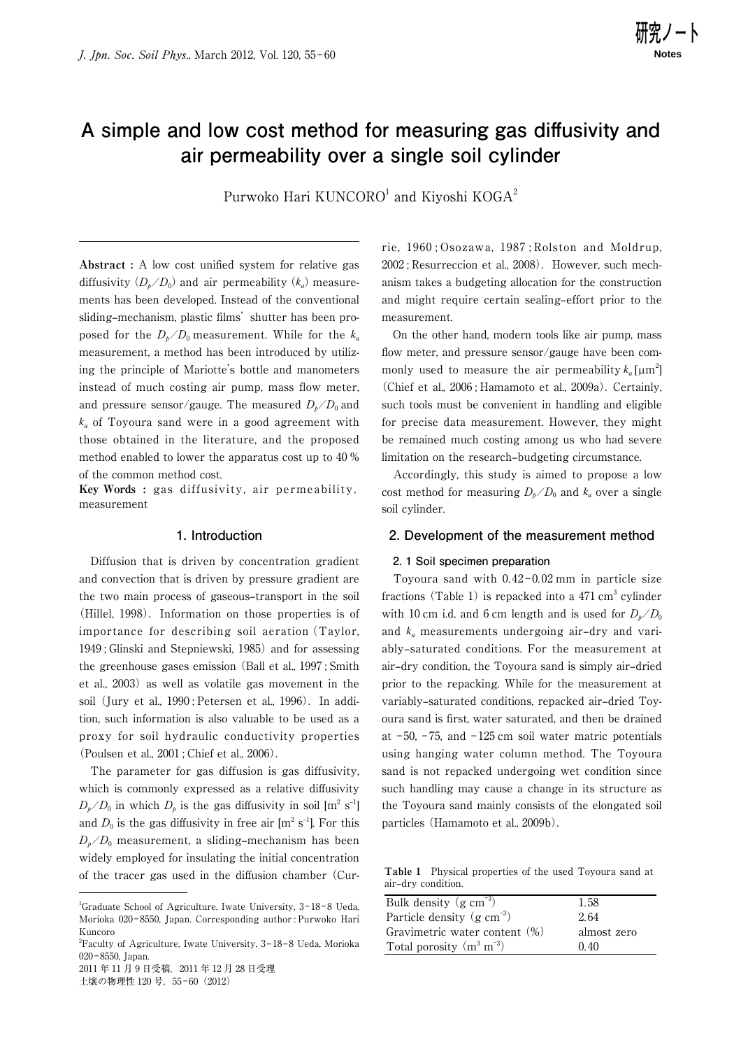# A simple and low cost method for measuring gas diffusivity and **air permeability over a single soil cylinder**

Purwoko Hari  $\rm KUNCORO^{1}$  and Kiyoshi  $\rm KOGA^{2}$ 

Abstract : A low cost unified system for relative gas diffusivity  $(D_b/D_0)$  and air permeability  $(k_a)$  measurements has been developed. Instead of the conventional sliding–mechanism, plastic films' shutter has been proposed for the  $D_{\rm b}/D_0$  measurement. While for the  $k_a$ measurement, a method has been introduced by utilizing the principle of Mariotte's bottle and manometers instead of much costing air pump, mass flow meter, and pressure sensor/gauge. The measured  $D_h/D_0$  and  $k_a$  of Toyoura sand were in a good agreement with those obtained in the literature, and the proposed method enabled to lower the apparatus cost up to 40 % of the common method cost.

**Key Words :** gas diffusivity, air permeability, measurement

#### **1. Introduction**

 Diffusion that is driven by concentration gradient and convection that is driven by pressure gradient are the two main process of gaseous-transport in the soil (Hillel, 1998). Information on those properties is of importance for describing soil aeration(Taylor, 1949 ; Glinski and Stepniewski, 1985) and for assessing the greenhouse gases emission (Ball et al., 1997 ; Smith et al., 2003) as well as volatile gas movement in the soil (Jury et al., 1990; Petersen et al., 1996). In addition, such information is also valuable to be used as a proxy for soil hydraulic conductivity properties (Poulsen et al., 2001 ; Chief et al., 2006).

 The parameter for gas diffusion is gas diffusivity, which is commonly expressed as a relative diffusivity  $D_p/D_0$  in which  $D_p$  is the gas diffusivity in soil  $[m^2 \text{ s}^{-1}]$ and  $D_0$  is the gas diffusivity in free air  $[m^2 s^{-1}]$ . For this  $D_{\nu}/D_0$  measurement, a sliding–mechanism has been widely employed for insulating the initial concentration of the tracer gas used in the diffusion chamber (Cur-

rie, 1960 ; Osozawa, 1987 ; Rolston and Moldrup, 2002; Resurreccion et al., 2008). However, such mechanism takes a budgeting allocation for the construction and might require certain sealing–effort prior to the measurement.

 On the other hand, modern tools like air pump, mass flow meter, and pressure sensor/gauge have been commonly used to measure the air permeability  $k_a$  [ $\mu$ m<sup>2</sup>] (Chief et al., 2006 ; Hamamoto et al., 2009a). Certainly, such tools must be convenient in handling and eligible for precise data measurement. However, they might be remained much costing among us who had severe limitation on the research-budgeting circumstance.

 Accordingly, this study is aimed to propose a low cost method for measuring  $D_b/D_0$  and  $k_a$  over a single soil cylinder.

## **2. Development of the measurement method**

#### **2. 1 Soil specimen preparation**

Toyoura sand with  $0.42 - 0.02$  mm in particle size fractions (Table 1) is repacked into a  $471 \text{ cm}^3$  cylinder with 10 cm i.d. and 6 cm length and is used for  $D_{\nu}/D_0$ and  $k_a$  measurements undergoing air-dry and variably‒saturated conditions. For the measurement at air-dry condition, the Toyoura sand is simply air-dried prior to the repacking. While for the measurement at variably-saturated conditions, repacked air-dried Toyoura sand is first, water saturated, and then be drained at  $-50$ ,  $-75$ , and  $-125$  cm soil water matric potentials using hanging water column method. The Toyoura sand is not repacked undergoing wet condition since such handling may cause a change in its structure as the Toyoura sand mainly consists of the elongated soil particles (Hamamoto et al., 2009b).

**Table 1** Physical properties of the used Toyoura sand at air‒dry condition.

| Bulk density $(g \text{ cm}^{-3})$     | 1.58        |  |
|----------------------------------------|-------------|--|
| Particle density $(g \text{ cm}^{-3})$ | 2.64        |  |
| Gravimetric water content $(\%)$       | almost zero |  |
| Total porosity $(m^3 m^{-3})$          | 0.40        |  |

<sup>&</sup>lt;sup>1</sup>Graduate School of Agriculture, Iwate University, 3-18-8 Ueda, Morioka 020 ‒ 8550, Japan. Corresponding author : Purwoko Hari Kuncoro

<sup>&</sup>lt;sup>2</sup>Faculty of Agriculture, Iwate University, 3-18-8 Ueda, Morioka 020‒ 8550, Japan.

<sup>2011</sup> 年 11 月 9 日受稿,2011 年 12 月 28 日受理 土壌の物理性 120号, 55-60 (2012)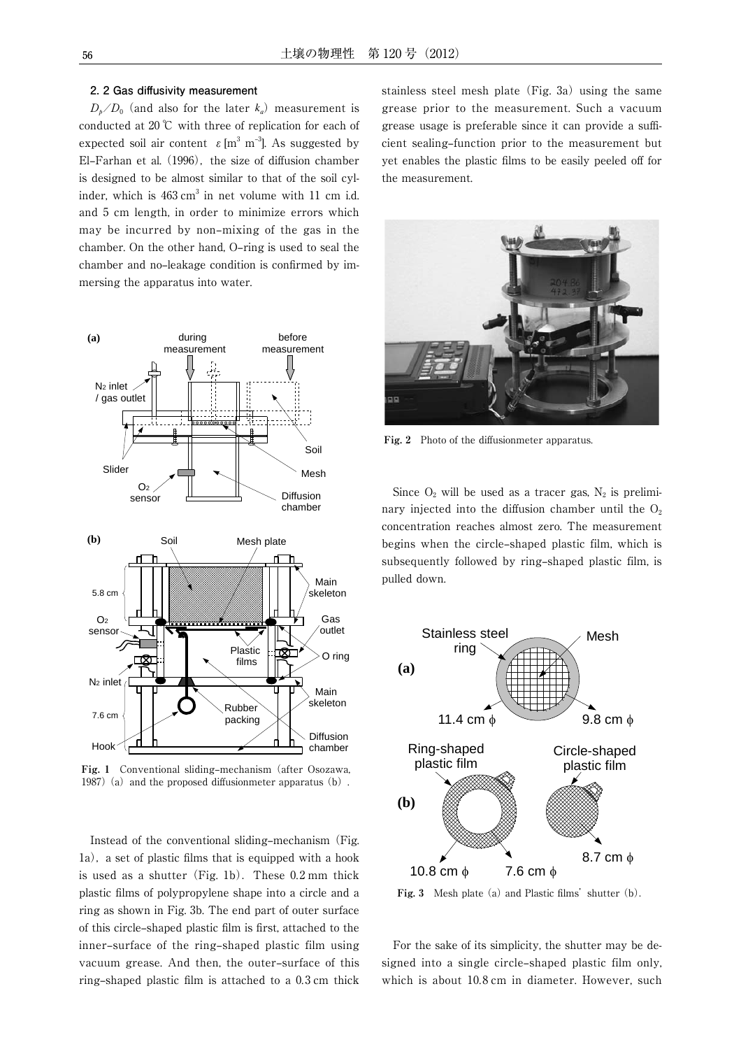### **2. 2 Gas diffusivity measurement**

 $D_{\nu}/D_0$  (and also for the later  $k_a$ ) measurement is conducted at 20 ℃ with three of replication for each of expected soil air content  $\varepsilon$  [m<sup>3</sup> m<sup>-3</sup>]. As suggested by El-Farhan et al.  $(1996)$ , the size of diffusion chamber is designed to be almost similar to that of the soil cylinder, which is  $463 \text{ cm}^3$  in net volume with 11 cm i.d. and 5 cm length, in order to minimize errors which may be incurred by non-mixing of the gas in the chamber. On the other hand, O-ring is used to seal the chamber and no-leakage condition is confirmed by immersing the apparatus into water.



Fig. 1 Conventional sliding–mechanism (after Osozawa, 1987) (a) and the proposed diffusionmeter apparatus  $(b)$ .

Instead of the conventional sliding–mechanism (Fig.  $1a$ ), a set of plastic films that is equipped with a hook is used as a shutter (Fig. 1b). These  $0.2 \text{ mm}$  thick plastic films of polypropylene shape into a circle and a ring as shown in Fig. 3b. The end part of outer surface of this circle-shaped plastic film is first, attached to the inner–surface of the ring–shaped plastic film using vacuum grease. And then, the outer-surface of this ring-shaped plastic film is attached to a  $0.3 \text{ cm}$  thick

stainless steel mesh plate (Fig. 3a) using the same grease prior to the measurement. Such a vacuum grease usage is preferable since it can provide a sufficient sealing–function prior to the measurement but yet enables the plastic films to be easily peeled off for the measurement.



Fig. 2 Photo of the diffusionmeter apparatus.

Since  $O_2$  will be used as a tracer gas,  $N_2$  is preliminary injected into the diffusion chamber until the  $O<sub>2</sub>$ concentration reaches almost zero. The measurement begins when the circle-shaped plastic film, which is subsequently followed by ring-shaped plastic film, is pulled down.



Fig. 3 Mesh plate (a) and Plastic films' shutter (b).

 For the sake of its simplicity, the shutter may be designed into a single circle-shaped plastic film only, which is about 10.8 cm in diameter. However, such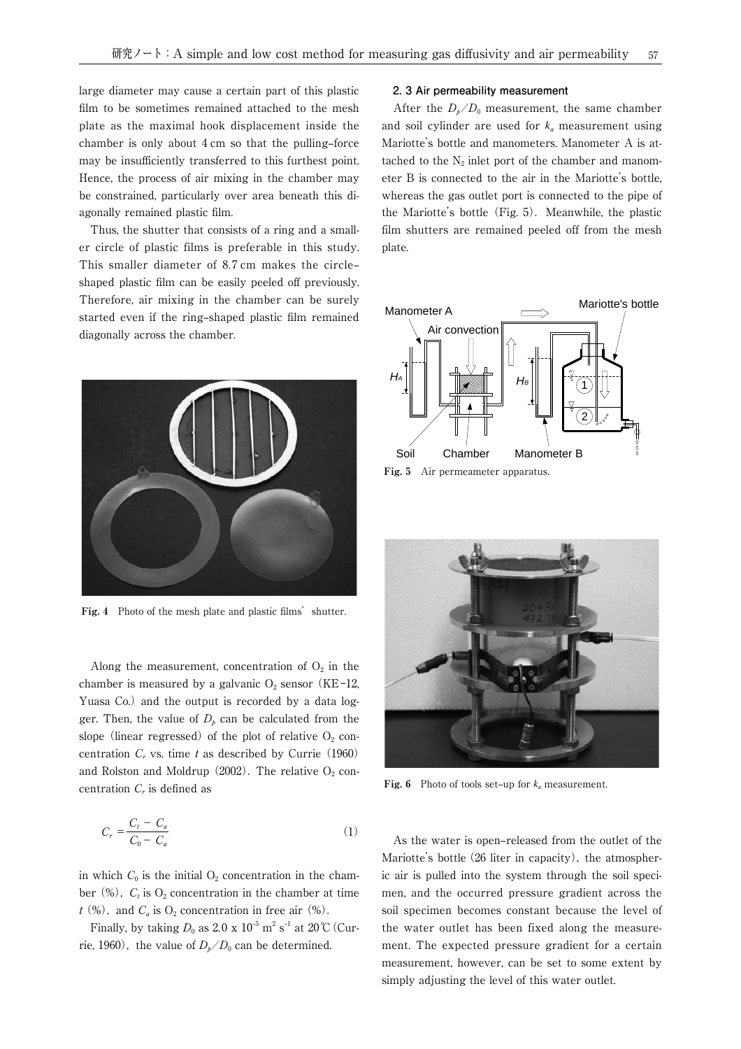large diameter may cause a certain part of this plastic film to be sometimes remained attached to the mesh plate as the maximal hook displacement inside the chamber is only about  $4 \text{ cm}$  so that the pulling–force may be insufficiently transferred to this furthest point. Hence, the process of air mixing in the chamber may be constrained, particularly over area beneath this diagonally remained plastic film.

 Thus, the shutter that consists of a ring and a smaller circle of plastic films is preferable in this study. This smaller diameter of 8.7 cm makes the circleshaped plastic film can be easily peeled off previously. Therefore, air mixing in the chamber can be surely started even if the ring-shaped plastic film remained diagonally across the chamber.



Fig. 4 Photo of the mesh plate and plastic films' shutter.

Along the measurement, concentration of  $O_2$  in the chamber is measured by a galvanic  $O_2$  sensor (KE-12, Yuasa Co.) and the output is recorded by a data logger. Then, the value of  $D<sub>p</sub>$  can be calculated from the slope (linear regressed) of the plot of relative  $O_2$  concentration  $C_r$  vs. time t as described by Currie (1960) and Rolston and Moldrup  $(2002)$ . The relative  $O_2$  concentration  $C_r$  is defined as

$$
C_r = \frac{C_t - C_a}{C_0 - C_a} \tag{1}
$$

in which  $C_0$  is the initial  $O_2$  concentration in the chamber  $(\%)$ ,  $C_t$  is  $O_2$  concentration in the chamber at time  $t$  (%), and  $C_a$  is  $O_2$  concentration in free air (%).

Finally, by taking  $D_0$  as  $2.0 \times 10^{-5}$  m<sup>2</sup> s<sup>-1</sup> at 20°C (Currie, 1960), the value of  $D_b/D_0$  can be determined.

#### **2. 3 Air permeability measurement**

After the  $D_{\nu}/D_0$  measurement, the same chamber and soil cylinder are used for  $k_a$  measurement using Mariotte's bottle and manometers. Manometer A is attached to the  $N_2$  inlet port of the chamber and manometer B is connected to the air in the Mariotte's bottle, whereas the gas outlet port is connected to the pipe of the Mariotte's bottle  $(Fig, 5)$ . Meanwhile, the plastic film shutters are remained peeled off from the mesh plate.



**Fig. 5** Air permeameter apparatus.



**Fig. 6** Photo of tools set-up for  $k_a$  measurement.

As the water is open-released from the outlet of the Mariotte's bottle  $(26$  liter in capacity), the atmospheric air is pulled into the system through the soil specimen, and the occurred pressure gradient across the soil specimen becomes constant because the level of the water outlet has been fixed along the measurement. The expected pressure gradient for a certain measurement, however, can be set to some extent by simply adjusting the level of this water outlet.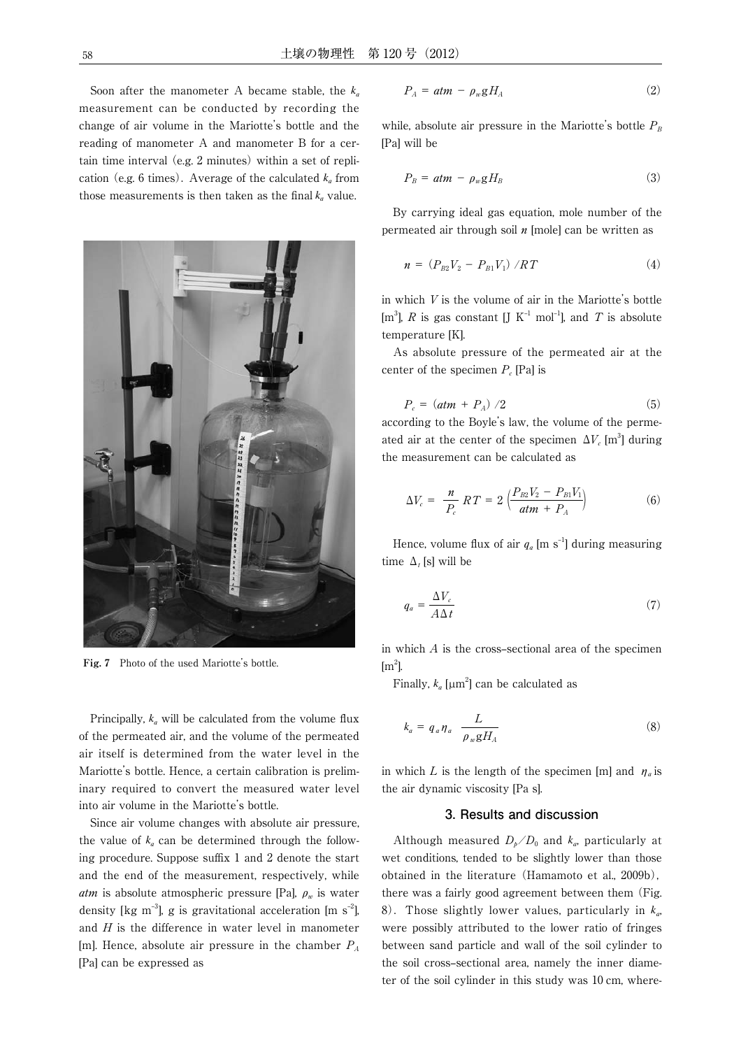Soon after the manometer A became stable, the  $k_a$ measurement can be conducted by recording the change of air volume in the Mariotte's bottle and the reading of manometer A and manometer B for a certain time interval (e.g. 2 minutes) within a set of replication (e.g. 6 times). Average of the calculated  $k_a$  from those measurements is then taken as the final  $k_a$  value.



**Fig. 7** Photo of the used Mariotte's bottle.

Principally,  $k_a$  will be calculated from the volume flux of the permeated air, and the volume of the permeated air itself is determined from the water level in the Mariotte's bottle. Hence, a certain calibration is preliminary required to convert the measured water level into air volume in the Mariotte's bottle.

 Since air volume changes with absolute air pressure, the value of  $k_a$  can be determined through the following procedure. Suppose suffix  $1$  and  $2$  denote the start and the end of the measurement, respectively, while atm is absolute atmospheric pressure [Pa],  $\rho_w$  is water density [kg m<sup>-3</sup>], g is gravitational acceleration [m s<sup>-2</sup>], and  $H$  is the difference in water level in manometer [m]. Hence, absolute air pressure in the chamber  $P_A$ [Pa] can be expressed as

$$
P_A = atm - \rho_w g H_A \tag{2}
$$

while, absolute air pressure in the Mariotte's bottle  $P_B$ [Pa] will be

$$
P_B = atm - \rho_w g H_B \tag{3}
$$

 By carrying ideal gas equation, mole number of the permeated air through soil  $n$  [mole] can be written as

$$
n = (P_{B2}V_2 - P_{B1}V_1) / RT \tag{4}
$$

in which V is the volume of air in the Mariotte's bottle [m<sup>3</sup>], R is gas constant [J K<sup>-1</sup> mol<sup>-1</sup>], and T is absolute temperature [K].

 As absolute pressure of the permeated air at the center of the specimen  $P_c$  [Pa] is

$$
P_c = (atm + P_A) / 2 \tag{5}
$$

according to the Boyle's law, the volume of the permeated air at the center of the specimen  $\Delta V_c$  [m<sup>3</sup>] during the measurement can be calculated as

$$
\Delta V_c = \frac{n}{P_c} RT = 2 \left( \frac{P_{B2} V_2 - P_{B1} V_1}{atm + P_A} \right) \tag{6}
$$

Hence, volume flux of air  $q_a$  [m s<sup>-1</sup>] during measuring time  $\Delta_t$  [s] will be

$$
q_a = \frac{\Delta V_c}{A \Delta t} \tag{7}
$$

in which  $A$  is the cross–sectional area of the specimen  $\rm [m^2]$ .

Finally,  $k_a$  [ $\mu$ m<sup>2</sup>] can be calculated as

$$
k_a = q_a \eta_a \frac{L}{\rho_w g H_A} \tag{8}
$$

in which L is the length of the specimen [m] and  $\eta_a$  is the air dynamic viscosity [Pa s].

## **3. Results and discussion**

Although measured  $D_b/D_0$  and  $k_a$ , particularly at wet conditions, tended to be slightly lower than those obtained in the literature (Hamamoto et al., 2009b), there was a fairly good agreement between them (Fig. 8). Those slightly lower values, particularly in  $k_a$ , were possibly attributed to the lower ratio of fringes between sand particle and wall of the soil cylinder to the soil cross-sectional area, namely the inner diameter of the soil cylinder in this study was 10 cm, where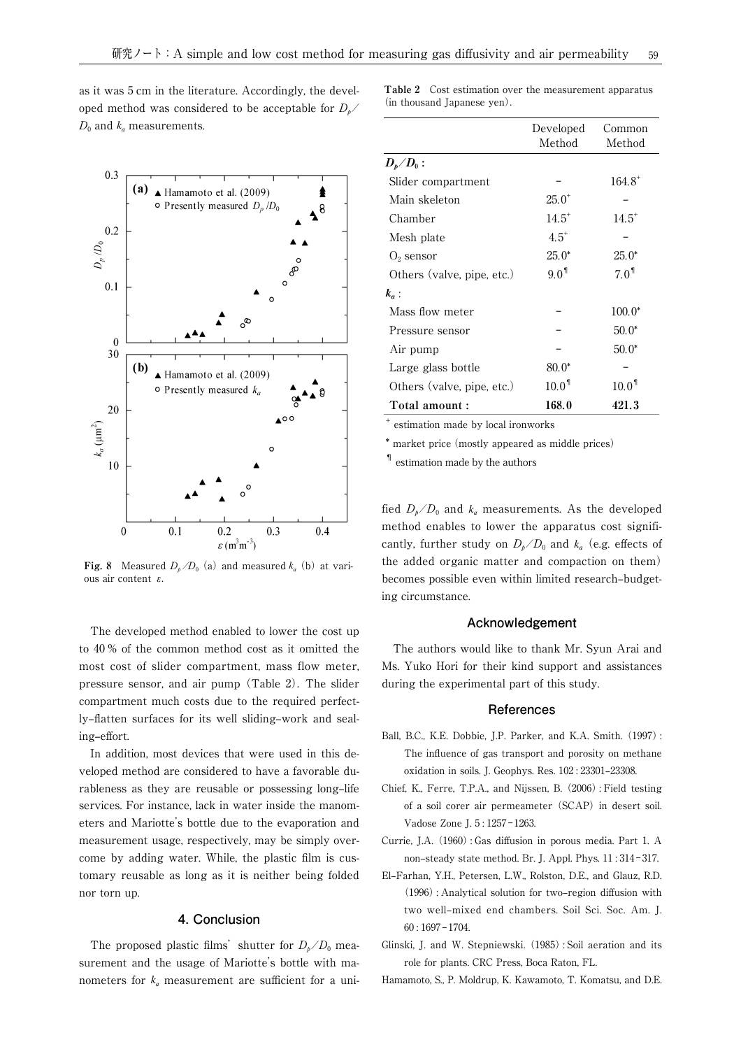as it was 5 cm in the literature. Accordingly, the developed method was considered to be acceptable for  $D_{\nu}$  $D_0$  and  $k_a$  measurements.



**Fig. 8** Measured  $D_b/D_0$  (a) and measured  $k_a$  (b) at various air content ε.

 The developed method enabled to lower the cost up to 40 % of the common method cost as it omitted the most cost of slider compartment, mass flow meter, pressure sensor, and air pump (Table 2). The slider compartment much costs due to the required perfectly–flatten surfaces for its well sliding–work and sealing-effort.

 In addition, most devices that were used in this developed method are considered to have a favorable durableness as they are reusable or possessing long-life services. For instance, lack in water inside the manometers and Mariotte's bottle due to the evaporation and measurement usage, respectively, may be simply overcome by adding water. While, the plastic film is customary reusable as long as it is neither being folded nor torn up.

## **4. Conclusion**

The proposed plastic films' shutter for  $D_h/D_0$  measurement and the usage of Mariotte's bottle with manometers for  $k_a$  measurement are sufficient for a uni**Table 2** Cost estimation over the measurement apparatus (in thousand Japanese yen).

|                                             | Developed<br>Method | Common<br>Method  |
|---------------------------------------------|---------------------|-------------------|
| $\boldsymbol{D_p}\diagup\boldsymbol{D_0}$ : |                     |                   |
| Slider compartment                          |                     | $164.8^{+}$       |
| Main skeleton                               | $25.0^+$            |                   |
| Chamber                                     | $14.5^+$            | $14.5^*$          |
| Mesh plate                                  | $4.5^+$             |                   |
| $O_2$ sensor                                | $25.0*$             | $25.0*$           |
| Others (valve, pipe, etc.)                  | 9.0 <sup>1</sup>    | 7.0 <sup>1</sup>  |
| $k_a$ :                                     |                     |                   |
| Mass flow meter                             |                     | $100.0*$          |
| Pressure sensor                             |                     | $50.0*$           |
| Air pump                                    |                     | $50.0*$           |
| Large glass bottle                          | $80.0*$             |                   |
| Others (valve, pipe, etc.)                  | 10.0 <sup>1</sup>   | 10.0 <sup>1</sup> |
| Total amount :                              | 168.0               | 421.3             |
|                                             |                     |                   |

+ estimation made by local ironworks

\* market price(mostly appeared as middle prices)

¶ estimation made by the authors

fied  $D_b/D_0$  and  $k_a$  measurements. As the developed method enables to lower the apparatus cost significantly, further study on  $D_b/D_0$  and  $k_a$  (e.g. effects of the added organic matter and compaction on them) becomes possible even within limited research-budgeting circumstance.

## **Acknowledgement**

 The authors would like to thank Mr. Syun Arai and Ms. Yuko Hori for their kind support and assistances during the experimental part of this study.

### **References**

- Ball, B.C., K.E. Dobbie, J.P. Parker, and K.A. Smith. (1997): The influence of gas transport and porosity on methane oxidation in soils. J. Geophys. Res. 102: 23301-23308.
- Chief, K., Ferre, T.P.A., and Nijssen, B. (2006): Field testing of a soil corer air permeameter (SCAP) in desert soil. Vadose Zone J. 5:1257-1263.
- Currie, J.A. (1960): Gas diffusion in porous media. Part 1. A non-steady state method. Br. J. Appl. Phys. 11:314-317.
- El-Farhan, Y.H., Petersen, L.W., Rolston, D.E., and Glauz, R.D.  $(1996)$ : Analytical solution for two-region diffusion with two well-mixed end chambers. Soil Sci. Soc. Am. J.  $60:1697-1704.$
- Glinski, J. and W. Stepniewski. (1985): Soil aeration and its role for plants. CRC Press, Boca Raton, FL.
- Hamamoto, S., P. Moldrup, K. Kawamoto, T. Komatsu, and D.E.